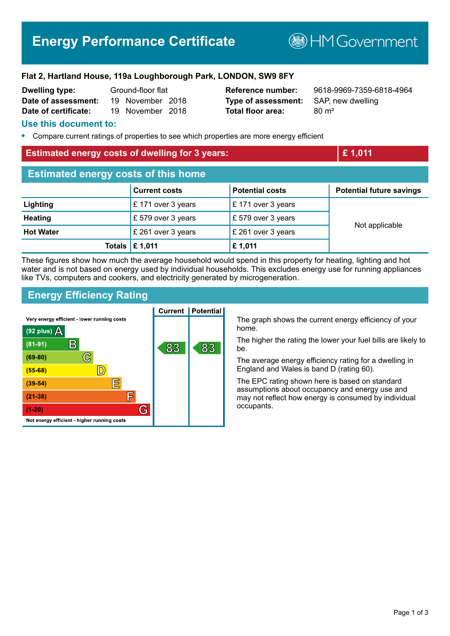# **Energy Performance Certificate**

**BHM Government** 

### **Flat 2, Hartland House, 119a Loughborough Park, LONDON, SW9 8FY**

| <b>Dwelling type:</b> | Ground-floor flat |                  |  |
|-----------------------|-------------------|------------------|--|
| Date of assessment:   |                   | 19 November 2018 |  |
| Date of certificate:  |                   | 19 November 2018 |  |

**Type of assessment:** SAP, new dwelling **Total floor area:** 80 m<sup>2</sup>

**Reference number:** 9618-9969-7359-6818-4964

## **Use this document to:**

**•** Compare current ratings of properties to see which properties are more energy efficient

## **Estimated energy costs of dwelling for 3 years: £ 1,011**

| <b>Estimated energy costs of this home</b> |                           |                        |                                 |  |
|--------------------------------------------|---------------------------|------------------------|---------------------------------|--|
|                                            | <b>Current costs</b>      | <b>Potential costs</b> | <b>Potential future savings</b> |  |
| Lighting                                   | £171 over 3 years         | £171 over 3 years      | Not applicable                  |  |
| <b>Heating</b>                             | £ 579 over 3 years        | £ 579 over 3 years     |                                 |  |
| <b>Hot Water</b>                           | £ 261 over 3 years        | £ 261 over 3 years     |                                 |  |
|                                            | Totals $\mathsf{E}$ 1,011 | £ 1,011                |                                 |  |

These figures show how much the average household would spend in this property for heating, lighting and hot water and is not based on energy used by individual households. This excludes energy use for running appliances like TVs, computers and cookers, and electricity generated by microgeneration.

## **Energy Efficiency Rating**



The graph shows the current energy efficiency of your home.

The higher the rating the lower your fuel bills are likely to be.

The average energy efficiency rating for a dwelling in England and Wales is band D (rating 60).

The EPC rating shown here is based on standard assumptions about occupancy and energy use and may not reflect how energy is consumed by individual occupants.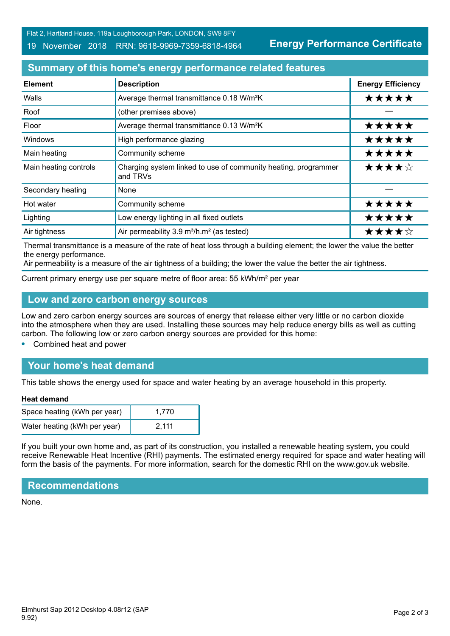Flat 2, Hartland House, 119a Loughborough Park, LONDON, SW9 8FY

#### 19 November 2018 RRN: 9618-9969-7359-6818-4964

**Energy Performance Certificate**

# **Summary of this home's energy performance related features**

| <b>Element</b>        | <b>Description</b>                                                         | <b>Energy Efficiency</b> |
|-----------------------|----------------------------------------------------------------------------|--------------------------|
| Walls                 | Average thermal transmittance 0.18 W/m <sup>2</sup> K                      | *****                    |
| Roof                  | (other premises above)                                                     |                          |
| Floor                 | Average thermal transmittance 0.13 W/m <sup>2</sup> K                      | *****                    |
| <b>Windows</b>        | High performance glazing                                                   | *****                    |
| Main heating          | Community scheme                                                           | *****                    |
| Main heating controls | Charging system linked to use of community heating, programmer<br>and TRVs | ★★★★☆                    |
| Secondary heating     | None                                                                       |                          |
| Hot water             | Community scheme                                                           | *****                    |
| Lighting              | Low energy lighting in all fixed outlets                                   | *****                    |
| Air tightness         | Air permeability 3.9 m <sup>3</sup> /h.m <sup>2</sup> (as tested)          | ★★★★☆                    |

Thermal transmittance is a measure of the rate of heat loss through a building element; the lower the value the better the energy performance.

Air permeability is a measure of the air tightness of a building; the lower the value the better the air tightness.

Current primary energy use per square metre of floor area: 55 kWh/m² per year

## **Low and zero carbon energy sources**

Low and zero carbon energy sources are sources of energy that release either very little or no carbon dioxide into the atmosphere when they are used. Installing these sources may help reduce energy bills as well as cutting carbon. The following low or zero carbon energy sources are provided for this home:

**•** Combined heat and power

# **Your home's heat demand**

This table shows the energy used for space and water heating by an average household in this property.

#### **Heat demand**

| Space heating (kWh per year) | 1.770 |
|------------------------------|-------|
| Water heating (kWh per year) | 2.111 |

If you built your own home and, as part of its construction, you installed a renewable heating system, you could receive Renewable Heat Incentive (RHI) payments. The estimated energy required for space and water heating will form the basis of the payments. For more information, search for the domestic RHI on the www.gov.uk website.

## **Recommendations**

None.